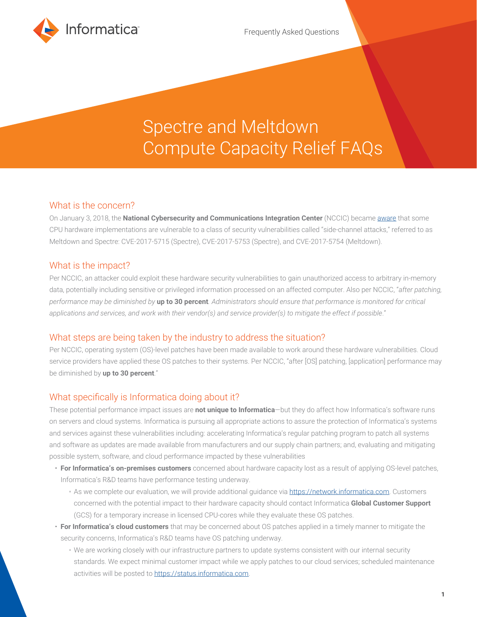

# Spectre and Meltdown Compute Capacity Relief FAQs

### What is the concern?

On January 3, 2018, the **National Cybersecurity and Communications Integration Center** (NCCIC) became [aware](https://www.us-cert.gov/ncas/alerts/TA18-004A) that some CPU hardware implementations are vulnerable to a class of security vulnerabilities called "side-channel attacks," referred to as Meltdown and Spectre: CVE-2017-5715 (Spectre), CVE-2017-5753 (Spectre), and CVE-2017-5754 (Meltdown).

### What is the impact?

Per NCCIC, an attacker could exploit these hardware security vulnerabilities to gain unauthorized access to arbitrary in-memory data, potentially including sensitive or privileged information processed on an affected computer. Also per NCCIC, "*after patching, performance may be diminished by* **up to 30 percent***. Administrators should ensure that performance is monitored for critical applications and services, and work with their vendor(s) and service provider(s) to mitigate the effect if possible*."

### What steps are being taken by the industry to address the situation?

Per NCCIC, operating system (OS)-level patches have been made available to work around these hardware vulnerabilities. Cloud service providers have applied these OS patches to their systems. Per NCCIC, "after [OS] patching, [application] performance may be diminished by **up to 30 percent**."

### What specifically is Informatica doing about it?

These potential performance impact issues are **not unique to Informatica**—but they do affect how Informatica's software runs on servers and cloud systems. Informatica is pursuing all appropriate actions to assure the protection of Informatica's systems and services against these vulnerabilities including: accelerating Informatica's regular patching program to patch all systems and software as updates are made available from manufacturers and our supply chain partners; and, evaluating and mitigating possible system, software, and cloud performance impacted by these vulnerabilities

- **For Informatica's on-premises customers** concerned about hardware capacity lost as a result of applying OS-level patches, Informatica's R&D teams have performance testing underway.
	- As we complete our evaluation, we will provide additional guidance via [https://network.informatica.com.](https://network.informatica.com) Customers concerned with the potential impact to their hardware capacity should contact Informatica **Global Customer Support** (GCS) for a temporary increase in licensed CPU-cores while they evaluate these OS patches.
- **For Informatica's cloud customers** that may be concerned about OS patches applied in a timely manner to mitigate the security concerns, Informatica's R&D teams have OS patching underway.
	- We are working closely with our infrastructure partners to update systems consistent with our internal security standards. We expect minimal customer impact while we apply patches to our cloud services; scheduled maintenance activities will be posted to<https://status.informatica.com>.